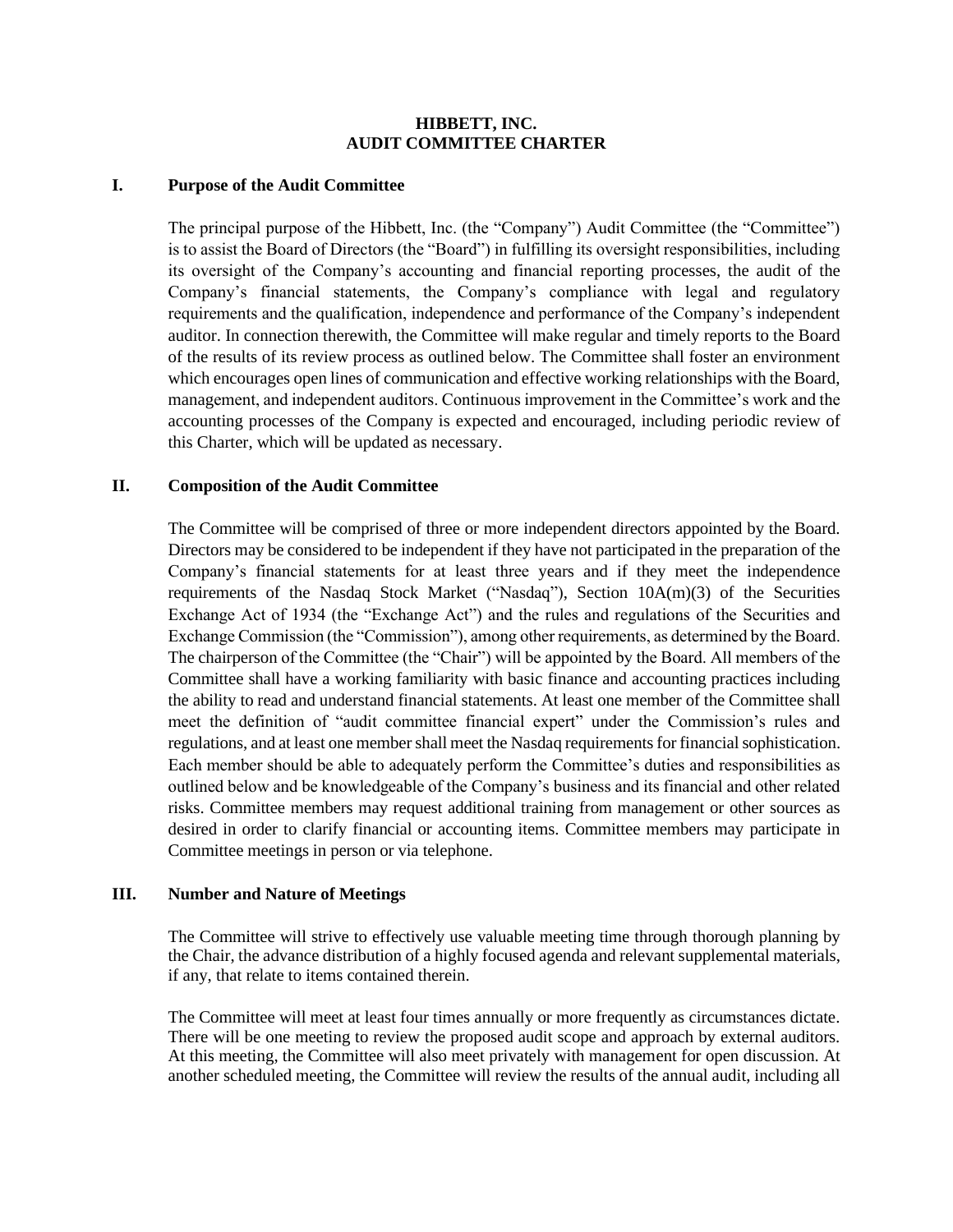### **HIBBETT, INC. AUDIT COMMITTEE CHARTER**

#### **I. Purpose of the Audit Committee**

The principal purpose of the Hibbett, Inc. (the "Company") Audit Committee (the "Committee") is to assist the Board of Directors (the "Board") in fulfilling its oversight responsibilities, including its oversight of the Company's accounting and financial reporting processes, the audit of the Company's financial statements, the Company's compliance with legal and regulatory requirements and the qualification, independence and performance of the Company's independent auditor. In connection therewith, the Committee will make regular and timely reports to the Board of the results of its review process as outlined below. The Committee shall foster an environment which encourages open lines of communication and effective working relationships with the Board, management, and independent auditors. Continuous improvement in the Committee's work and the accounting processes of the Company is expected and encouraged, including periodic review of this Charter, which will be updated as necessary.

### **II. Composition of the Audit Committee**

The Committee will be comprised of three or more independent directors appointed by the Board. Directors may be considered to be independent if they have not participated in the preparation of the Company's financial statements for at least three years and if they meet the independence requirements of the Nasdaq Stock Market ("Nasdaq"), Section 10A(m)(3) of the Securities Exchange Act of 1934 (the "Exchange Act") and the rules and regulations of the Securities and Exchange Commission (the "Commission"), among other requirements, as determined by the Board. The chairperson of the Committee (the "Chair") will be appointed by the Board. All members of the Committee shall have a working familiarity with basic finance and accounting practices including the ability to read and understand financial statements. At least one member of the Committee shall meet the definition of "audit committee financial expert" under the Commission's rules and regulations, and at least one member shall meet the Nasdaq requirements for financial sophistication. Each member should be able to adequately perform the Committee's duties and responsibilities as outlined below and be knowledgeable of the Company's business and its financial and other related risks. Committee members may request additional training from management or other sources as desired in order to clarify financial or accounting items. Committee members may participate in Committee meetings in person or via telephone.

### **III. Number and Nature of Meetings**

The Committee will strive to effectively use valuable meeting time through thorough planning by the Chair, the advance distribution of a highly focused agenda and relevant supplemental materials, if any, that relate to items contained therein.

The Committee will meet at least four times annually or more frequently as circumstances dictate. There will be one meeting to review the proposed audit scope and approach by external auditors. At this meeting, the Committee will also meet privately with management for open discussion. At another scheduled meeting, the Committee will review the results of the annual audit, including all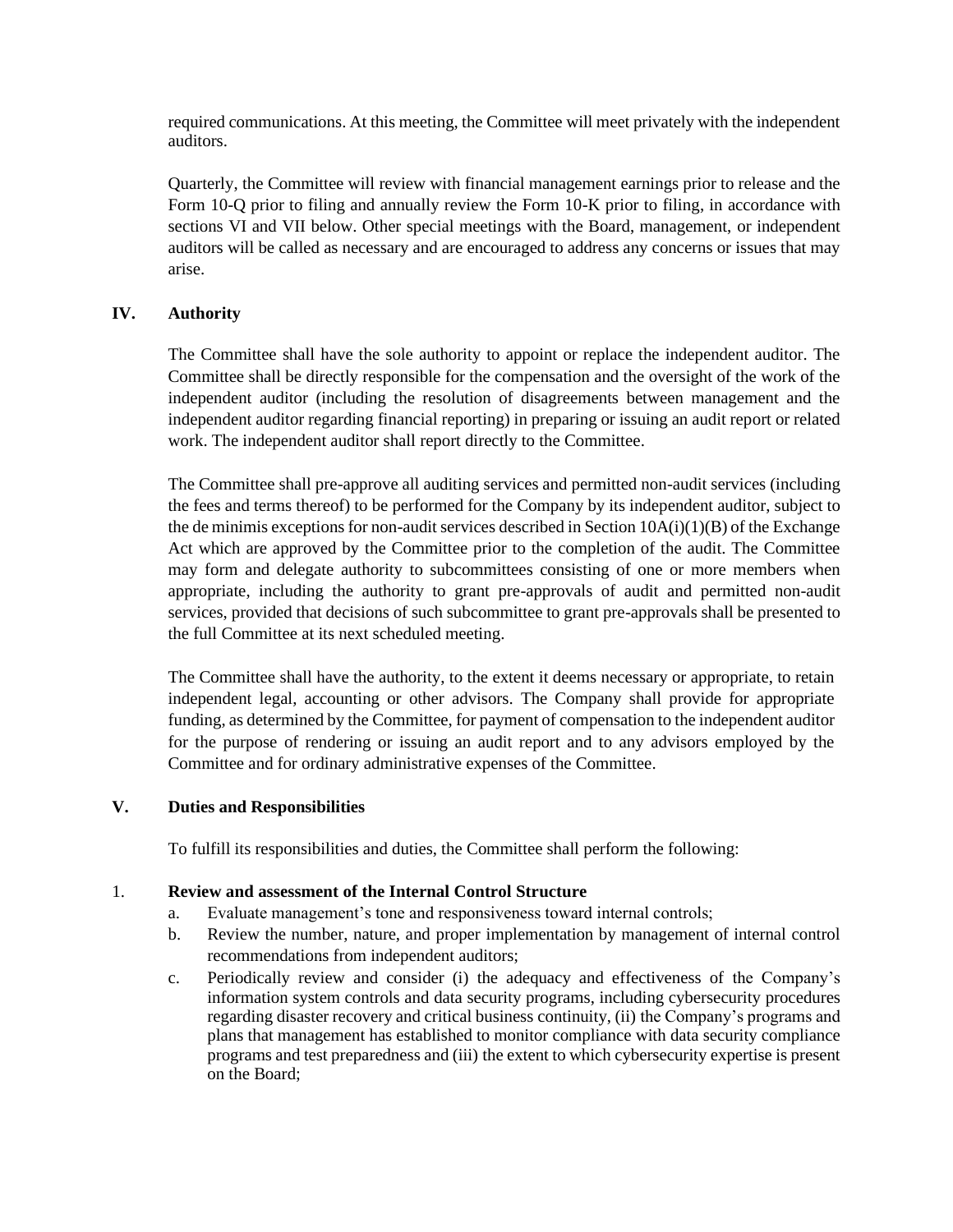required communications. At this meeting, the Committee will meet privately with the independent auditors.

Quarterly, the Committee will review with financial management earnings prior to release and the Form 10-Q prior to filing and annually review the Form 10-K prior to filing, in accordance with sections VI and VII below. Other special meetings with the Board, management, or independent auditors will be called as necessary and are encouraged to address any concerns or issues that may arise.

## **IV. Authority**

The Committee shall have the sole authority to appoint or replace the independent auditor. The Committee shall be directly responsible for the compensation and the oversight of the work of the independent auditor (including the resolution of disagreements between management and the independent auditor regarding financial reporting) in preparing or issuing an audit report or related work. The independent auditor shall report directly to the Committee.

The Committee shall pre-approve all auditing services and permitted non-audit services (including the fees and terms thereof) to be performed for the Company by its independent auditor, subject to the de minimis exceptions for non-audit services described in Section 10A(i)(1)(B) of the Exchange Act which are approved by the Committee prior to the completion of the audit. The Committee may form and delegate authority to subcommittees consisting of one or more members when appropriate, including the authority to grant pre-approvals of audit and permitted non-audit services, provided that decisions of such subcommittee to grant pre-approvals shall be presented to the full Committee at its next scheduled meeting.

The Committee shall have the authority, to the extent it deems necessary or appropriate, to retain independent legal, accounting or other advisors. The Company shall provide for appropriate funding, as determined by the Committee, for payment of compensation to the independent auditor for the purpose of rendering or issuing an audit report and to any advisors employed by the Committee and for ordinary administrative expenses of the Committee.

### **V. Duties and Responsibilities**

To fulfill its responsibilities and duties, the Committee shall perform the following:

### 1. **Review and assessment of the Internal Control Structure**

- a. Evaluate management's tone and responsiveness toward internal controls;
- b. Review the number, nature, and proper implementation by management of internal control recommendations from independent auditors;
- c. Periodically review and consider (i) the adequacy and effectiveness of the Company's information system controls and data security programs, including cybersecurity procedures regarding disaster recovery and critical business continuity, (ii) the Company's programs and plans that management has established to monitor compliance with data security compliance programs and test preparedness and (iii) the extent to which cybersecurity expertise is present on the Board;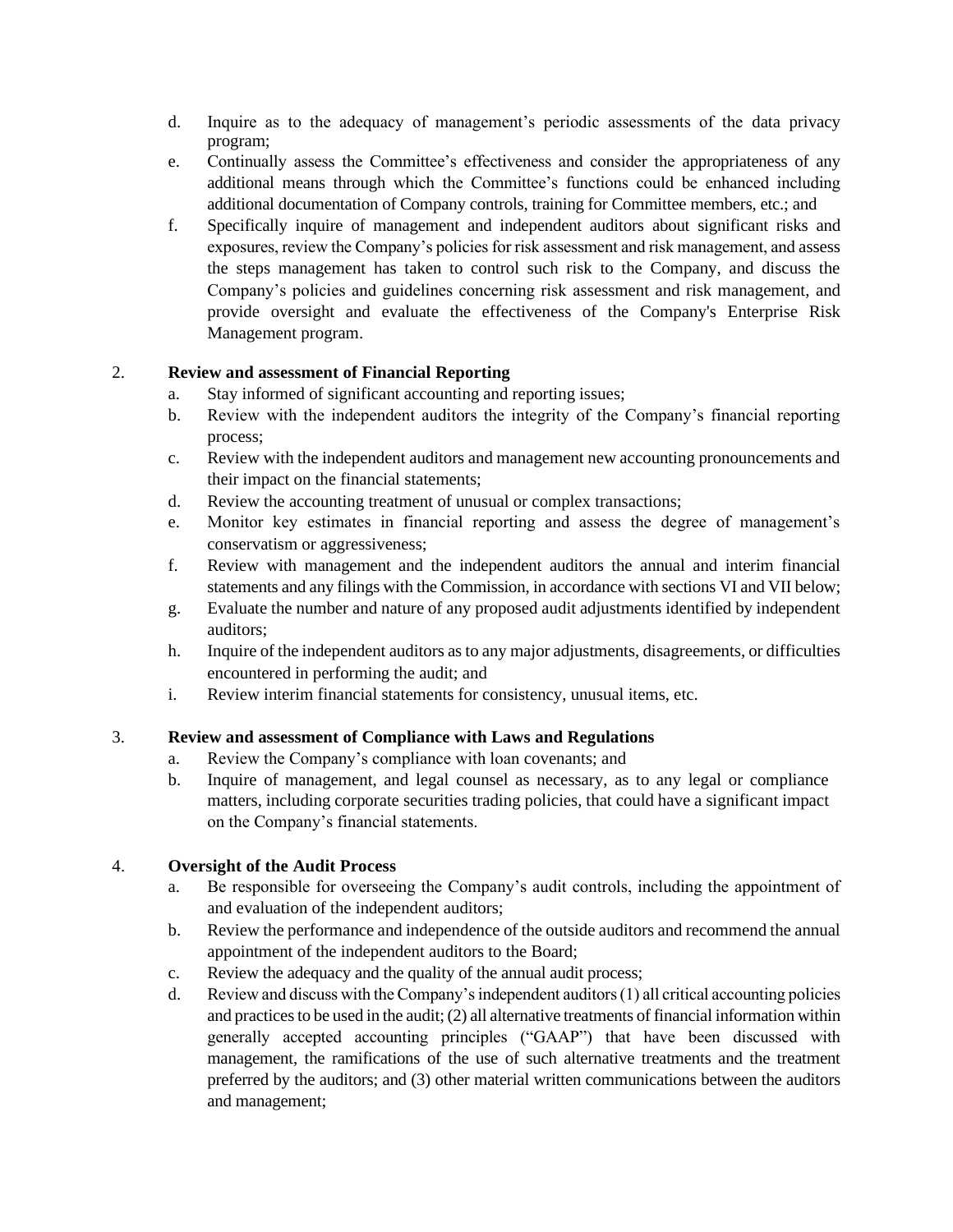- d. Inquire as to the adequacy of management's periodic assessments of the data privacy program;
- e. Continually assess the Committee's effectiveness and consider the appropriateness of any additional means through which the Committee's functions could be enhanced including additional documentation of Company controls, training for Committee members, etc.; and
- f. Specifically inquire of management and independent auditors about significant risks and exposures, review the Company's policies for risk assessment and risk management, and assess the steps management has taken to control such risk to the Company, and discuss the Company's policies and guidelines concerning risk assessment and risk management, and provide oversight and evaluate the effectiveness of the Company's Enterprise Risk Management program.

# 2. **Review and assessment of Financial Reporting**

- a. Stay informed of significant accounting and reporting issues;
- b. Review with the independent auditors the integrity of the Company's financial reporting process;
- c. Review with the independent auditors and management new accounting pronouncements and their impact on the financial statements;
- d. Review the accounting treatment of unusual or complex transactions;
- e. Monitor key estimates in financial reporting and assess the degree of management's conservatism or aggressiveness;
- f. Review with management and the independent auditors the annual and interim financial statements and any filings with the Commission, in accordance with sections VI and VII below;
- g. Evaluate the number and nature of any proposed audit adjustments identified by independent auditors;
- h. Inquire of the independent auditors as to any major adjustments, disagreements, or difficulties encountered in performing the audit; and
- i. Review interim financial statements for consistency, unusual items, etc.

## 3. **Review and assessment of Compliance with Laws and Regulations**

- a. Review the Company's compliance with loan covenants; and
- b. Inquire of management, and legal counsel as necessary, as to any legal or compliance matters, including corporate securities trading policies, that could have a significant impact on the Company's financial statements.

## 4. **Oversight of the Audit Process**

- a. Be responsible for overseeing the Company's audit controls, including the appointment of and evaluation of the independent auditors;
- b. Review the performance and independence of the outside auditors and recommend the annual appointment of the independent auditors to the Board;
- c. Review the adequacy and the quality of the annual audit process;
- d. Review and discuss with the Company's independent auditors (1) all critical accounting policies and practices to be used in the audit; (2) all alternative treatments of financial information within generally accepted accounting principles ("GAAP") that have been discussed with management, the ramifications of the use of such alternative treatments and the treatment preferred by the auditors; and (3) other material written communications between the auditors and management;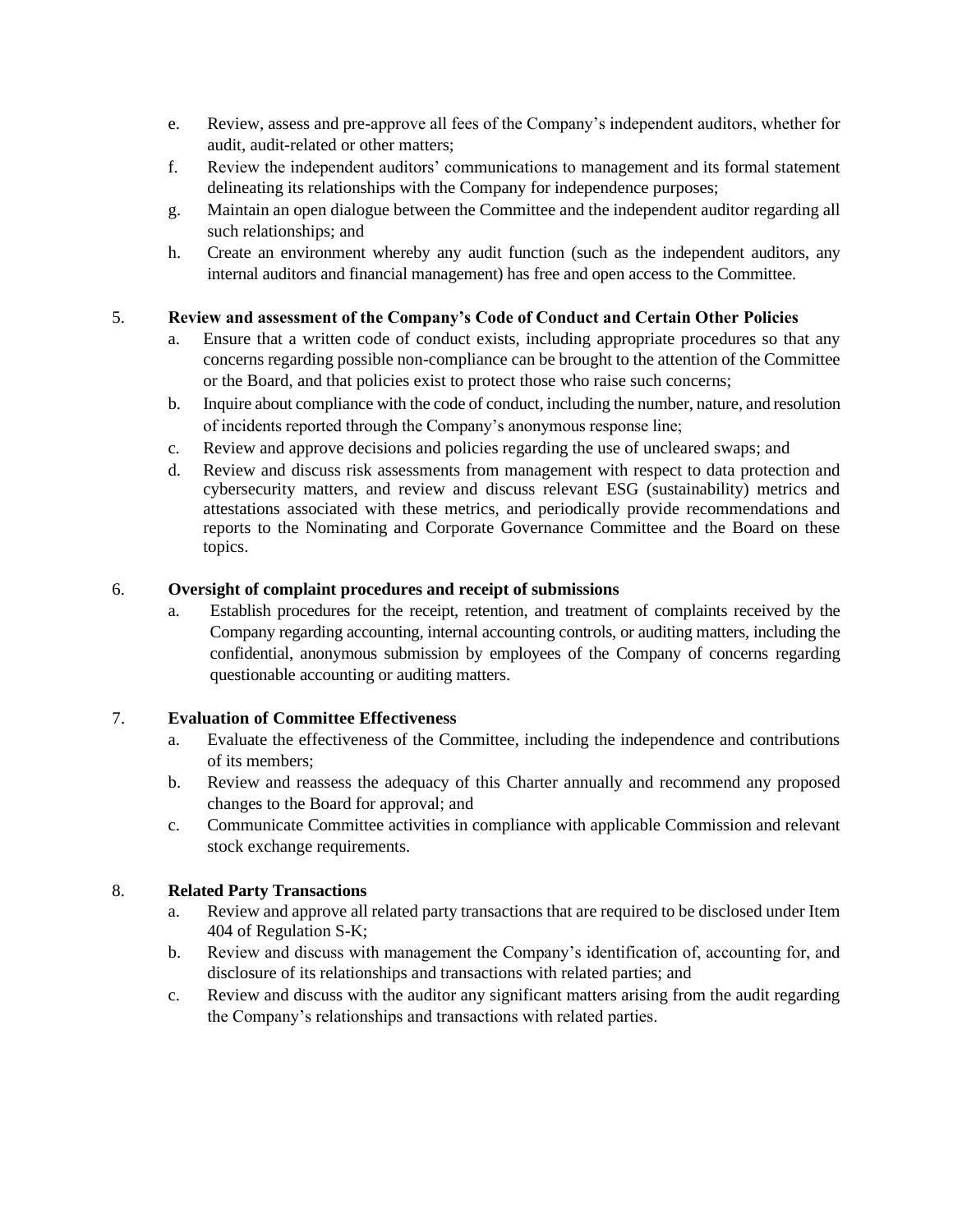- e. Review, assess and pre-approve all fees of the Company's independent auditors, whether for audit, audit-related or other matters;
- f. Review the independent auditors' communications to management and its formal statement delineating its relationships with the Company for independence purposes;
- g. Maintain an open dialogue between the Committee and the independent auditor regarding all such relationships; and
- h. Create an environment whereby any audit function (such as the independent auditors, any internal auditors and financial management) has free and open access to the Committee.

# 5. **Review and assessment of the Company's Code of Conduct and Certain Other Policies**

- a. Ensure that a written code of conduct exists, including appropriate procedures so that any concerns regarding possible non-compliance can be brought to the attention of the Committee or the Board, and that policies exist to protect those who raise such concerns;
- b. Inquire about compliance with the code of conduct, including the number, nature, and resolution of incidents reported through the Company's anonymous response line;
- c. Review and approve decisions and policies regarding the use of uncleared swaps; and
- d. Review and discuss risk assessments from management with respect to data protection and cybersecurity matters, and review and discuss relevant ESG (sustainability) metrics and attestations associated with these metrics, and periodically provide recommendations and reports to the Nominating and Corporate Governance Committee and the Board on these topics.

## 6. **Oversight of complaint procedures and receipt of submissions**

a. Establish procedures for the receipt, retention, and treatment of complaints received by the Company regarding accounting, internal accounting controls, or auditing matters, including the confidential, anonymous submission by employees of the Company of concerns regarding questionable accounting or auditing matters.

## 7. **Evaluation of Committee Effectiveness**

- a. Evaluate the effectiveness of the Committee, including the independence and contributions of its members;
- b. Review and reassess the adequacy of this Charter annually and recommend any proposed changes to the Board for approval; and
- c. Communicate Committee activities in compliance with applicable Commission and relevant stock exchange requirements.

## 8. **Related Party Transactions**

- a. Review and approve all related party transactions that are required to be disclosed under Item 404 of Regulation S-K;
- b. Review and discuss with management the Company's identification of, accounting for, and disclosure of its relationships and transactions with related parties; and
- c. Review and discuss with the auditor any significant matters arising from the audit regarding the Company's relationships and transactions with related parties.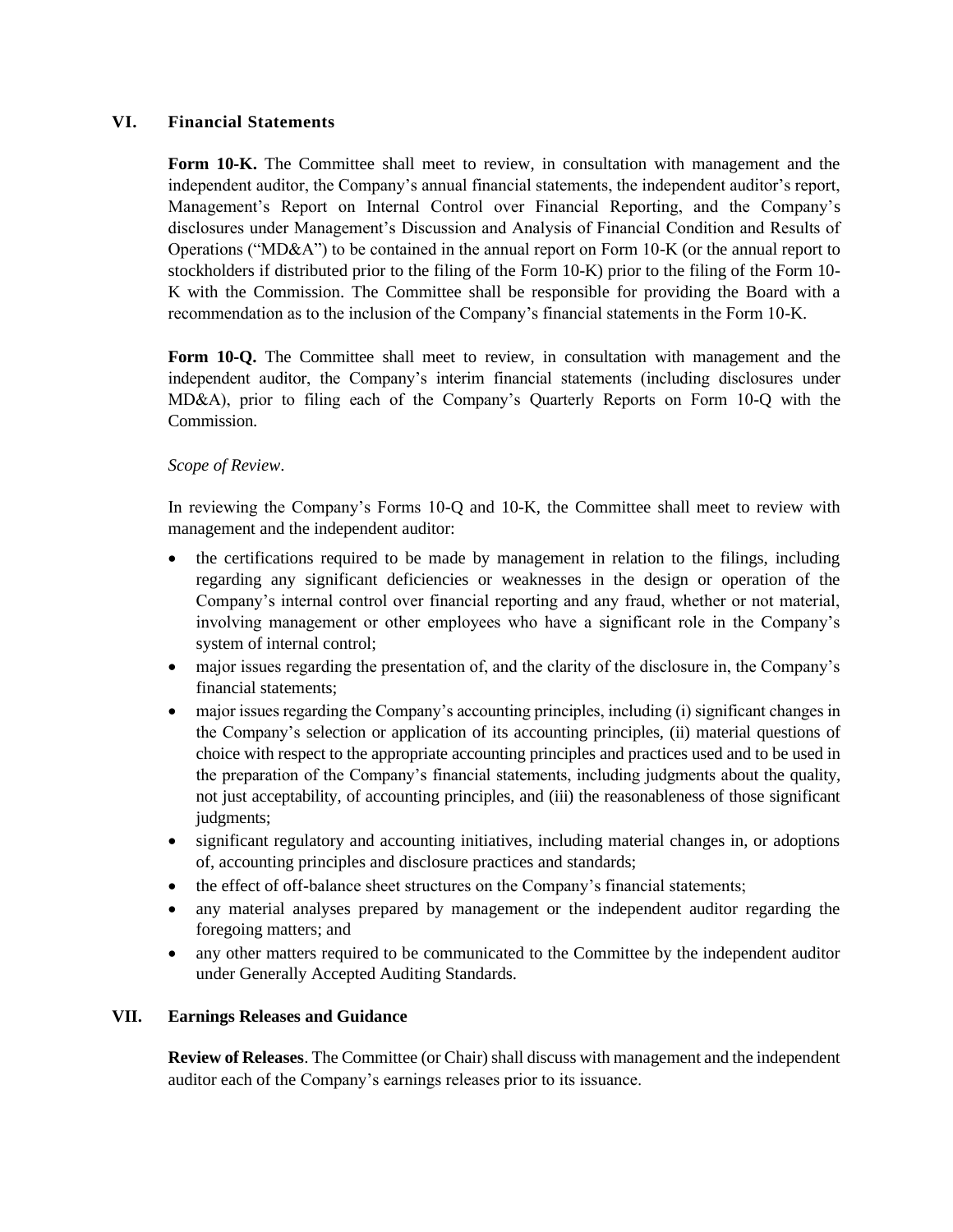### **VI. Financial Statements**

**Form 10-K.** The Committee shall meet to review, in consultation with management and the independent auditor, the Company's annual financial statements, the independent auditor's report, Management's Report on Internal Control over Financial Reporting, and the Company's disclosures under Management's Discussion and Analysis of Financial Condition and Results of Operations ("MD&A") to be contained in the annual report on Form  $10-K$  (or the annual report to stockholders if distributed prior to the filing of the Form 10-K) prior to the filing of the Form 10- K with the Commission. The Committee shall be responsible for providing the Board with a recommendation as to the inclusion of the Company's financial statements in the Form 10-K.

**Form 10-Q.** The Committee shall meet to review, in consultation with management and the independent auditor, the Company's interim financial statements (including disclosures under MD&A), prior to filing each of the Company's Quarterly Reports on Form 10-Q with the Commission.

### *Scope of Review*.

In reviewing the Company's Forms 10-Q and 10-K, the Committee shall meet to review with management and the independent auditor:

- the certifications required to be made by management in relation to the filings, including regarding any significant deficiencies or weaknesses in the design or operation of the Company's internal control over financial reporting and any fraud, whether or not material, involving management or other employees who have a significant role in the Company's system of internal control;
- major issues regarding the presentation of, and the clarity of the disclosure in, the Company's financial statements;
- major issues regarding the Company's accounting principles, including (i) significant changes in the Company's selection or application of its accounting principles, (ii) material questions of choice with respect to the appropriate accounting principles and practices used and to be used in the preparation of the Company's financial statements, including judgments about the quality, not just acceptability, of accounting principles, and (iii) the reasonableness of those significant judgments;
- significant regulatory and accounting initiatives, including material changes in, or adoptions of, accounting principles and disclosure practices and standards;
- the effect of off-balance sheet structures on the Company's financial statements;
- any material analyses prepared by management or the independent auditor regarding the foregoing matters; and
- any other matters required to be communicated to the Committee by the independent auditor under Generally Accepted Auditing Standards.

#### **VII. Earnings Releases and Guidance**

**Review of Releases**. The Committee (or Chair) shall discuss with management and the independent auditor each of the Company's earnings releases prior to its issuance.